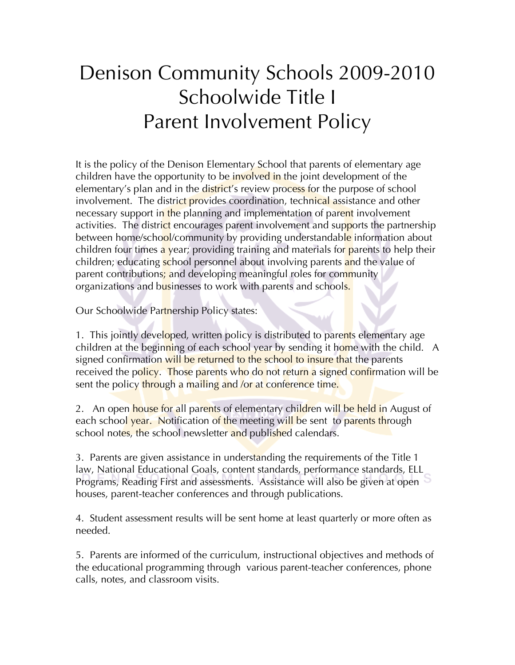# Denison Community Schools 2009-2010 Schoolwide Title I Parent Involvement Policy

It is the policy of the Denison Elementary School that parents of elementary age children have the opportunity to be involved in the joint development of the elementary's plan and in the district's review process for the purpose of school involvement. The district provides coordination, technical assistance and other necessary support in the planning and implementation of parent involvement activities. The district encourages parent involvement and supports the partnership between home/school/community by providing understandable information about children four times a year; providing training and materials for parents to help their children; educating school personnel about involving parents and the value of parent contributions; and developing meaningful roles for community organizations and businesses to work with parents and schools.

Our Schoolwide Partnership Policy states:

1. This jointly developed, written policy is distributed to parents elementary age children at the beginning of each school year by sending it home with the child. A signed confirmation will be returned to the school to insure that the parents received the policy. Those parents who do not return a signed confirmation will be sent the policy through a mailing and /or at conference time.

2. An open house for all parents of elementary children will be held in August of each school year. Notification of the meeting will be sent to parents through school notes, the school newsletter and published calendars.

3. Parents are given assistance in understanding the requirements of the Title 1 law, National Educational Goals, content standards, performance standards, ELL Programs, Reading First and assessments. Assistance will also be given at open houses, parent-teacher conferences and through publications.

4. Student assessment results will be sent home at least quarterly or more often as needed.

5. Parents are informed of the curriculum, instructional objectives and methods of the educational programming through various parent-teacher conferences, phone calls, notes, and classroom visits.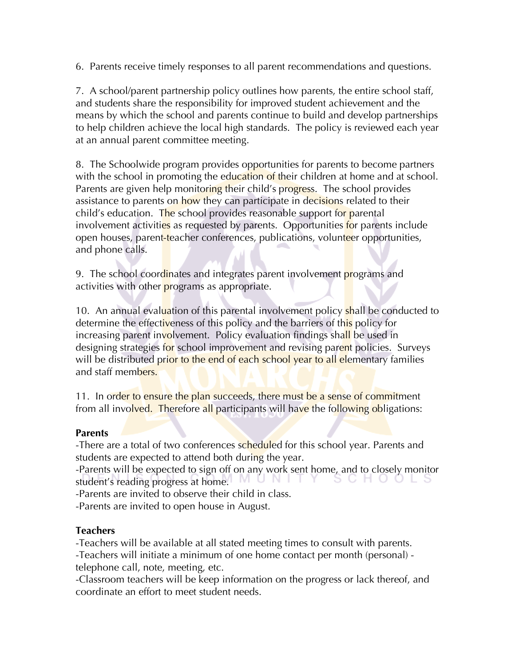6. Parents receive timely responses to all parent recommendations and questions.

7. A school/parent partnership policy outlines how parents, the entire school staff, and students share the responsibility for improved student achievement and the means by which the school and parents continue to build and develop partnerships to help children achieve the local high standards. The policy is reviewed each year at an annual parent committee meeting.

8. The Schoolwide program provides opportunities for parents to become partners with the school in promoting the education of their children at home and at school. Parents are given help monitoring their child's progress. The school provides assistance to parents on how they can participate in decisions related to their child's education. The school provides reasonable support for parental involvement activities as requested by parents. Opportunities for parents include open houses, parent-teacher conferences, publications, volunteer opportunities, and phone calls.

9. The school coordinates and integrates parent involvement programs and activities with other programs as appropriate.

10. An annual evaluation of this parental involvement policy shall be conducted to determine the effectiveness of this policy and the barriers of this policy for increasing parent involvement. Policy evaluation findings shall be used in designing strategies for school improvement and revising parent policies. Surveys will be distributed prior to the end of each school year to all elementary families and staff members.

11. In order to ensure the plan succeeds, there must be a sense of commitment from all involved. Therefore all participants will have the following obligations:

#### **Parents**

-There are a total of two conferences scheduled for this school year. Parents and students are expected to attend both during the year.

-Parents will be expected to sign off on any work sent home, and to closely monitor student's reading progress at home student's reading progress at home.

-Parents are invited to observe their child in class.

-Parents are invited to open house in August.

# **Teachers**

-Teachers will be available at all stated meeting times to consult with parents. -Teachers will initiate a minimum of one home contact per month (personal) telephone call, note, meeting, etc.

-Classroom teachers will be keep information on the progress or lack thereof, and coordinate an effort to meet student needs.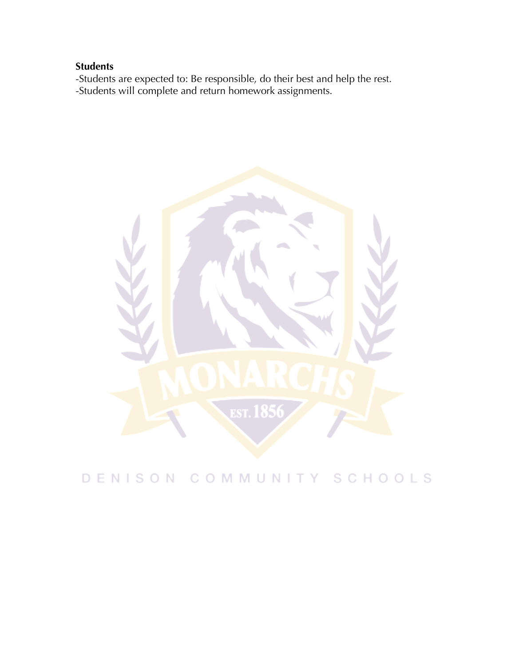# **Students**

-Students are expected to: Be responsible, do their best and help the rest. -Students will complete and return homework assignments.



# DENISON COMMUNITY SCHOOLS